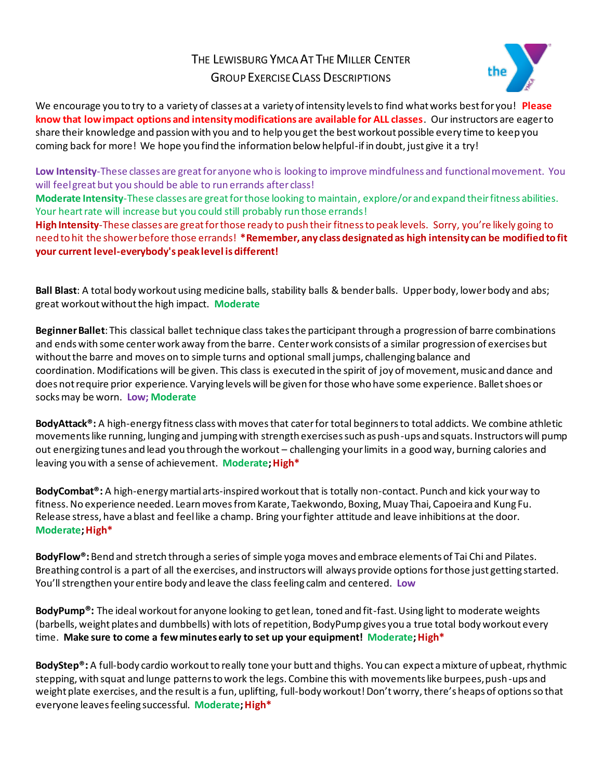## THE LEWISBURG YMCA AT THE MILLER CENTER GROUP EXERCISE CLASS DESCRIPTIONS



We encourage you to try to a variety of classes at a variety of intensity levels to find what works best for you! **Please know that low impact options and intensity modifications are available for ALL classes**. Our instructors are eager to share their knowledge and passion with you and to help you get the best workout possible every time to keep you coming back for more! We hope you find the information below helpful-if in doubt, just give it a try!

**Low Intensity**-These classes are great for anyone who is looking to improve mindfulness and functionalmovement. You will feel great but you should be able to run errands after class!

**Moderate Intensity**-These classes are great for those looking to maintain, explore/or and expand their fitness abilities. Your heart rate will increase but you could still probably run those errands!

**High Intensity**-These classes are great for those ready to push their fitness to peak levels. Sorry, you're likely going to need to hit the shower before those errands! **\*Remember, any class designated as high intensity can be modified to fit your current level-everybody's peak level is different!**

**Ball Blast**: A total body workout using medicine balls, stability balls & bender balls. Upper body, lower body and abs; great workout without the high impact. **Moderate**

**Beginner Ballet**: This classical ballet technique class takes the participant through a progression of barre combinations and ends with some center work away from the barre. Center work consists of a similar progression of exercises but without the barre and moves on to simple turns and optional small jumps, challenging balance and coordination. Modifications will be given. This class is executed in the spirit of joy of movement, music and dance and does not require prior experience. Varying levels will be given for those who have some experience. Ballet shoes or socks may be worn. **Low; Moderate**

**BodyAttack®:** A high-energy fitness class with moves that cater for total beginners to total addicts. We combine athletic movements like running, lunging and jumping with strength exercises such as push-ups and squats. Instructors will pump out energizing tunes and lead you through the workout – challenging your limits in a good way, burning calories and leaving you with a sense of achievement. **Moderate; High\*** 

**BodyCombat®:** A high-energy martial arts-inspired workout that is totally non-contact. Punch and kick your way to fitness. No experience needed. Learn moves from Karate, Taekwondo, Boxing, Muay Thai, Capoeira and Kung Fu. Release stress, have a blast and feel like a champ. Bring your fighter attitude and leave inhibitions at the door. **Moderate;High\***

**BodyFlow®:** Bend and stretch through a series of simple yoga moves and embrace elements of Tai Chi and Pilates. Breathing control is a part of all the exercises, and instructors will always provide options for those just getting started. You'll strengthen your entire body and leave the class feeling calm and centered. **Low**

**BodyPump®:** The ideal workout for anyone looking to get lean, toned and fit-fast. Using light to moderate weights (barbells, weight plates and dumbbells) with lots of repetition, BodyPump gives you a true total body workout every time. **Make sure to come a few minutes early to set up your equipment! Moderate;High\***

**BodyStep®:** A full-body cardio workout to really tone your butt and thighs. You can expect a mixture of upbeat, rhythmic stepping, with squat and lunge patterns to work the legs. Combine this with movements like burpees, push-ups and weight plate exercises, and the result is a fun, uplifting, full-body workout! Don't worry, there's heaps of options so that everyone leaves feeling successful. **Moderate;High\***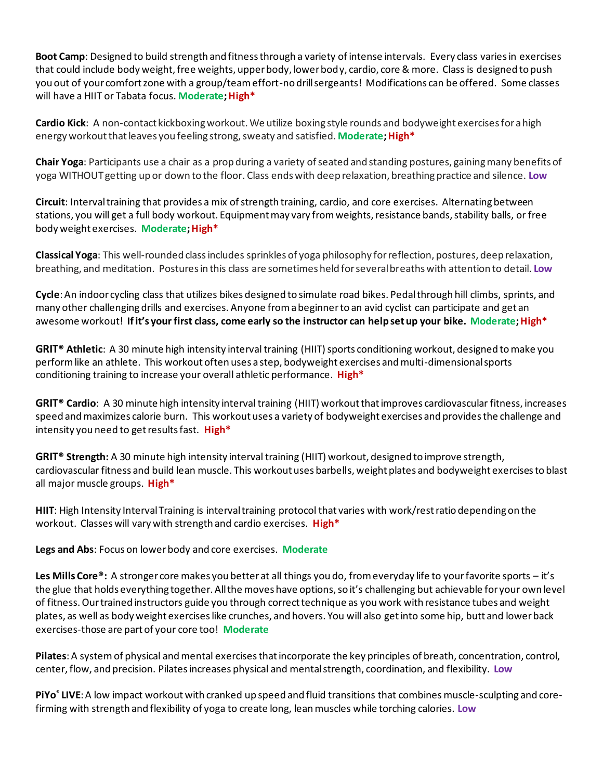**Boot Camp**: Designed to build strength and fitness through a variety of intense intervals. Every class varies in exercises that could include body weight, free weights, upper body, lower body, cardio, core & more. Class is designed to push you out of your comfort zone with a group/team effort-no drill sergeants! Modifications can be offered. Some classes will have a HIIT or Tabata focus. Moderate; High<sup>\*</sup>

**Cardio Kick**: A non-contact kickboxing workout. We utilize boxing style rounds and bodyweight exercises for a high energy workout that leaves you feeling strong, sweaty and satisfied. **Moderate;High\***

**Chair Yoga**: Participants use a chair as a prop during a variety of seated and standing postures, gaining many benefits of yoga WITHOUT getting up or down to the floor. Class ends with deep relaxation, breathing practice and silence. **Low**

**Circuit**: Intervaltraining that provides a mix of strength training, cardio, and core exercises. Alternating between stations, you will get a full body workout. Equipment may vary from weights, resistance bands, stability balls, or free body weight exercises. **Moderate;High\***

**Classical Yoga**: This well-rounded class includes sprinkles of yoga philosophy for reflection, postures, deep relaxation, breathing, and meditation. Postures in this class are sometimes held for several breaths with attention to detail. **Low**

**Cycle**:An indoor cycling class that utilizes bikes designed to simulate road bikes. Pedalthrough hill climbs, sprints, and many other challenging drills and exercises. Anyone fromabeginnerto an avid cyclist can participate and get an awesome workout! **Ifit's your first class, come early so the instructor can helpsetup your bike. Moderate;High\***

**GRIT® Athletic**: A 30 minute high intensity interval training (HIIT) sports conditioning workout, designed to make you perform like an athlete. This workout often uses a step, bodyweight exercises and multi-dimensional sports conditioning training to increase your overall athletic performance. **High\***

**GRIT® Cardio**: A 30 minute high intensity interval training (HIIT) workout that improves cardiovascular fitness, increases speed and maximizes calorie burn. This workout uses a variety of bodyweight exercises and provides the challenge and intensity you need to get results fast. **High\***

**GRIT® Strength:** A 30 minute high intensity interval training (HIIT) workout, designed to improve strength, cardiovascular fitness and build lean muscle. This workout uses barbells, weight plates and bodyweight exercises to blast all major muscle groups. **High\***

**HIIT**: High Intensity Interval Training is interval training protocol that varies with work/rest ratio depending on the workout. Classes will vary with strength and cardio exercises. **High\***

**Legs and Abs**: Focus on lower body and core exercises. **Moderate**

**Les Mills Core®:** A stronger core makes you better at all things you do, from everyday life to your favorite sports – it's the glue that holds everything together. All the moves have options, so it's challenging but achievable for your own level of fitness. Our trained instructors guide you through correct technique as you work with resistance tubes and weight plates, as well as body weight exercises like crunches, and hovers. You will also get into some hip, butt and lower back exercises-those are part of your core too! **Moderate**

**Pilates**:A systemof physical andmental exercisesthatincorporate the key principles of breath, concentration, control, center, flow, and precision. Pilatesincreases physical and mentalstrength, coordination, and flexibility. **Low**

**PiYo<sup>®</sup> LIVE**: A low impact workout with cranked up speed and fluid transitions that combines muscle-sculpting and corefirming with strength and flexibility of yoga to create long, lean muscles while torching calories. **Low**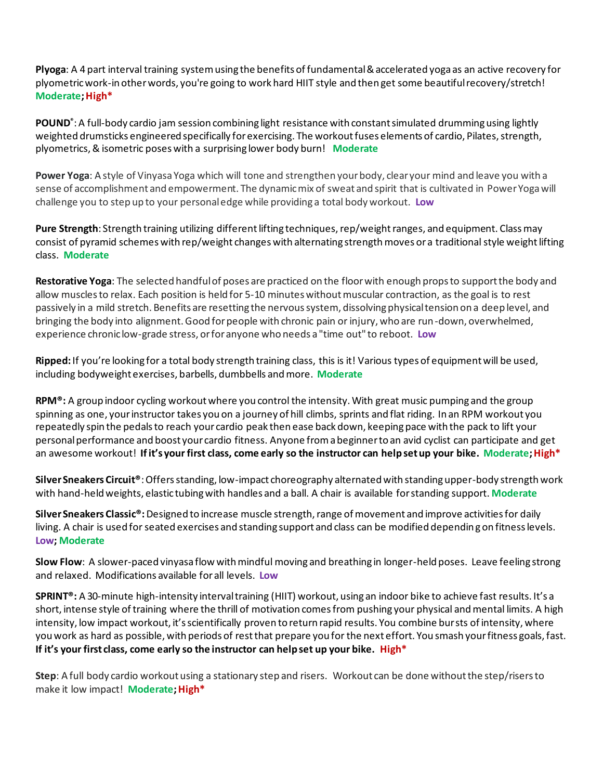**Plyoga**: A 4 part interval training system using the benefits of fundamental & accelerated yoga as an active recovery for plyometric work-in other words, you're going to work hard HIIT style and then get some beautiful recovery/stretch! **Moderate;High\***

**POUND®** :A full-body cardio jam session combining light resistance with constant simulated drumming using lightly weighted drumsticks engineered specifically for exercising. The workout fuses elements of cardio, Pilates, strength, plyometrics, & isometric poses with a surprising lower body burn! **Moderate**

**Power Yoga**: A style of Vinyasa Yoga which will tone and strengthen your body, clear your mind and leave you with a sense of accomplishment and empowerment. The dynamic mix of sweat and spirit that is cultivated in Power Yoga will challenge you to step up to your personal edge while providing a total body workout. **Low**

**Pure Strength**: Strength training utilizing different lifting techniques, rep/weight ranges, and equipment. Class may consist of pyramid schemes with rep/weight changes with alternating strength moves or a traditional style weight lifting class. **Moderate**

**Restorative Yoga**: The selected handful of poses are practiced on the floor with enough props to support the body and allow muscles to relax. Each position is held for 5-10 minutes without muscular contraction, as the goal is to rest passively in a mild stretch. Benefits are resetting the nervous system, dissolving physical tension on a deep level, and bringing the body into alignment. Good for people with chronic pain or injury, who are run-down, overwhelmed, experience chronic low-grade stress, or for anyone who needs a "time out" to reboot. **Low**

**Ripped:** If you're looking for a total body strength training class, this is it! Various types of equipment will be used, including bodyweight exercises, barbells, dumbbells and more. **Moderate**

**RPM®:** A group indoor cycling workout where you control the intensity. With great music pumping and the group spinning as one, your instructor takes you on a journey of hill climbs, sprints and flat riding. In an RPM workout you repeatedly spin the pedals to reach your cardio peak then ease back down, keeping pace with the pack to lift your personal performance and boost your cardio fitness. Anyone from a beginner to an avid cyclist can participate and get an awesome workout! **If it's your first class, come early so the instructor can help set up your bike. Moderate;High\***

**Silver Sneakers Circuit®**:Offers standing, low-impact choreography alternated with standing upper-body strength work with hand-held weights, elastic tubing with handles and a ball. A chair is available for standing support. **Moderate**

**Silver Sneakers Classic®:** Designed to increase muscle strength, range of movement and improve activities for daily living. A chair is used for seated exercises and standing support and class can be modified depending on fitness levels. **Low; Moderate**

**Slow Flow**: A slower-paced vinyasa flow with mindful moving and breathing in longer-held poses. Leave feeling strong and relaxed. Modifications available for all levels. **Low**

**SPRINT®:** A 30-minute high-intensity interval training (HIIT) workout, using an indoor bike to achieve fast results. It's a short, intense style of training where the thrill of motivation comes from pushing your physical and mental limits. A high intensity, low impact workout, it's scientifically proven to return rapid results. You combine bursts of intensity, where you work as hard as possible, with periods of rest that prepare you for the next effort. You smash your fitness goals, fast. **If it's your first class, come early so the instructor can help set up your bike. High\***

**Step**: A full body cardio workout using a stationary step and risers. Workout can be done without the step/risers to make it low impact! **Moderate: High\***